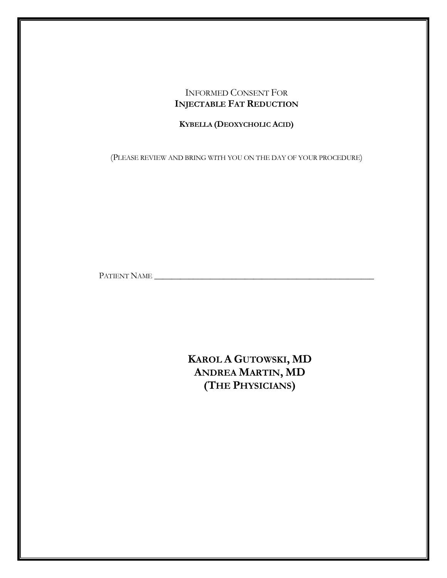# INFORMED CONSENT FOR **INJECTABLE FAT REDUCTION**

# **KYBELLA (DEOXYCHOLIC ACID)**

(PLEASE REVIEW AND BRING WITH YOU ON THE DAY OF YOUR PROCEDURE)

PATIENT NAME \_\_\_\_\_\_\_\_\_\_\_\_\_\_\_\_\_\_\_\_\_\_\_\_\_\_\_\_\_\_\_\_\_\_\_\_\_\_\_\_\_\_\_\_\_\_\_\_\_\_\_

**KAROL A GUTOWSKI, MD ANDREA MARTIN, MD (THE PHYSICIANS)**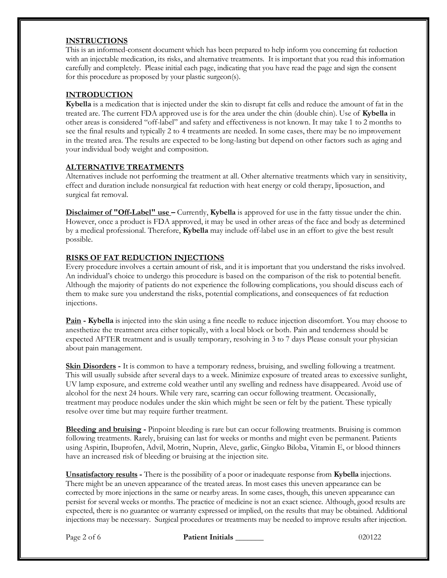#### **INSTRUCTIONS**

This is an informed-consent document which has been prepared to help inform you concerning fat reduction with an injectable medication, its risks, and alternative treatments. It is important that you read this information carefully and completely. Please initial each page, indicating that you have read the page and sign the consent for this procedure as proposed by your plastic surgeon(s).

### **INTRODUCTION**

**Kybella** is a medication that is injected under the skin to disrupt fat cells and reduce the amount of fat in the treated are. The current FDA approved use is for the area under the chin (double chin). Use of **Kybella** in other areas is considered "off-label" and safety and effectiveness is not known. It may take 1 to 2 months to see the final results and typically 2 to 4 treatments are needed. In some cases, there may be no improvement in the treated area. The results are expected to be long-lasting but depend on other factors such as aging and your individual body weight and composition.

### **ALTERNATIVE TREATMENTS**

Alternatives include not performing the treatment at all. Other alternative treatments which vary in sensitivity, effect and duration include nonsurgical fat reduction with heat energy or cold therapy, liposuction, and surgical fat removal.

**Disclaimer of "Off-Label" use –** Currently, **Kybella** is approved for use in the fatty tissue under the chin. However, once a product is FDA approved, it may be used in other areas of the face and body as determined by a medical professional. Therefore, **Kybella** may include off-label use in an effort to give the best result possible.

### **RISKS OF FAT REDUCTION INJECTIONS**

Every procedure involves a certain amount of risk, and it is important that you understand the risks involved. An individual's choice to undergo this procedure is based on the comparison of the risk to potential benefit. Although the majority of patients do not experience the following complications, you should discuss each of them to make sure you understand the risks, potential complications, and consequences of fat reduction injections.

**Pain - Kybella** is injected into the skin using a fine needle to reduce injection discomfort. You may choose to anesthetize the treatment area either topically, with a local block or both. Pain and tenderness should be expected AFTER treatment and is usually temporary, resolving in 3 to 7 days Please consult your physician about pain management.

**Skin Disorders -** It is common to have a temporary redness, bruising, and swelling following a treatment. This will usually subside after several days to a week. Minimize exposure of treated areas to excessive sunlight, UV lamp exposure, and extreme cold weather until any swelling and redness have disappeared. Avoid use of alcohol for the next 24 hours. While very rare, scarring can occur following treatment. Occasionally, treatment may produce nodules under the skin which might be seen or felt by the patient. These typically resolve over time but may require further treatment.

**Bleeding and bruising -** Pinpoint bleeding is rare but can occur following treatments. Bruising is common following treatments. Rarely, bruising can last for weeks or months and might even be permanent. Patients using Aspirin, Ibuprofen, Advil, Motrin, Nuprin, Aleve, garlic, Gingko Biloba, Vitamin E, or blood thinners have an increased risk of bleeding or bruising at the injection site.

**Unsatisfactory results -** There is the possibility of a poor or inadequate response from **Kybella** injections. There might be an uneven appearance of the treated areas. In most cases this uneven appearance can be corrected by more injections in the same or nearby areas. In some cases, though, this uneven appearance can persist for several weeks or months. The practice of medicine is not an exact science. Although, good results are expected, there is no guarantee or warranty expressed or implied, on the results that may be obtained. Additional injections may be necessary. Surgical procedures or treatments may be needed to improve results after injection.

Page 2 of 6 **Patient Initials 200122 Patient Initials** 200122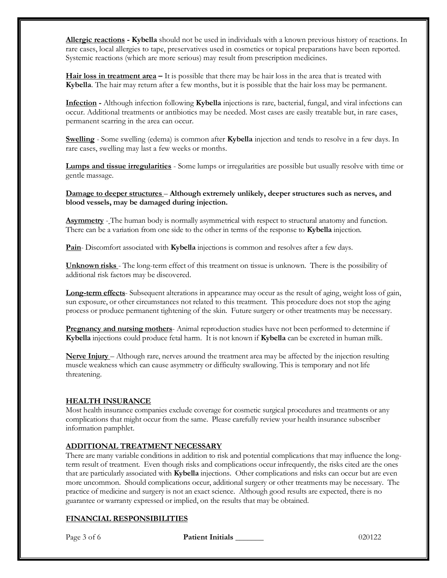**Allergic reactions - Kybella** should not be used in individuals with a known previous history of reactions. In rare cases, local allergies to tape, preservatives used in cosmetics or topical preparations have been reported. Systemic reactions (which are more serious) may result from prescription medicines.

**Hair loss in treatment area –** It is possible that there may be hair loss in the area that is treated with **Kybella**. The hair may return after a few months, but it is possible that the hair loss may be permanent.

**Infection -** Although infection following **Kybella** injections is rare, bacterial, fungal, and viral infections can occur. Additional treatments or antibiotics may be needed. Most cases are easily treatable but, in rare cases, permanent scarring in the area can occur.

**Swelling** - Some swelling (edema) is common after **Kybella** injection and tends to resolve in a few days. In rare cases, swelling may last a few weeks or months.

**Lumps and tissue irregularities** - Some lumps or irregularities are possible but usually resolve with time or gentle massage.

**Damage to deeper structures** – **Although extremely unlikely, deeper structures such as nerves, and blood vessels, may be damaged during injection.** 

**Asymmetry** - The human body is normally asymmetrical with respect to structural anatomy and function. There can be a variation from one side to the other in terms of the response to **Kybella** injection.

**Pain**- Discomfort associated with **Kybella** injections is common and resolves after a few days.

**Unknown risks** - The long-term effect of this treatment on tissue is unknown. There is the possibility of additional risk factors may be discovered.

**Long-term effects**- Subsequent alterations in appearance may occur as the result of aging, weight loss of gain, sun exposure, or other circumstances not related to this treatment. This procedure does not stop the aging process or produce permanent tightening of the skin. Future surgery or other treatments may be necessary.

**Pregnancy and nursing mothers**- Animal reproduction studies have not been performed to determine if **Kybella** injections could produce fetal harm. It is not known if **Kybella** can be excreted in human milk.

**Nerve Injury** – Although rare, nerves around the treatment area may be affected by the injection resulting muscle weakness which can cause asymmetry or difficulty swallowing. This is temporary and not life threatening.

#### **HEALTH INSURANCE**

Most health insurance companies exclude coverage for cosmetic surgical procedures and treatments or any complications that might occur from the same. Please carefully review your health insurance subscriber information pamphlet.

#### **ADDITIONAL TREATMENT NECESSARY**

There are many variable conditions in addition to risk and potential complications that may influence the longterm result of treatment. Even though risks and complications occur infrequently, the risks cited are the ones that are particularly associated with **Kybella** injections. Other complications and risks can occur but are even more uncommon. Should complications occur, additional surgery or other treatments may be necessary. The practice of medicine and surgery is not an exact science. Although good results are expected, there is no guarantee or warranty expressed or implied, on the results that may be obtained.

#### **FINANCIAL RESPONSIBILITIES**

Page 3 of 6 **Patient Initials \_\_\_\_\_\_\_** 020122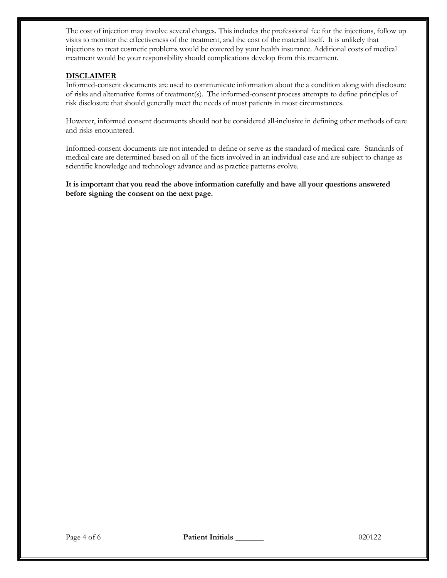The cost of injection may involve several charges. This includes the professional fee for the injections, follow up visits to monitor the effectiveness of the treatment, and the cost of the material itself. It is unlikely that injections to treat cosmetic problems would be covered by your health insurance. Additional costs of medical treatment would be your responsibility should complications develop from this treatment.

#### **DISCLAIMER**

Informed-consent documents are used to communicate information about the a condition along with disclosure of risks and alternative forms of treatment(s). The informed-consent process attempts to define principles of risk disclosure that should generally meet the needs of most patients in most circumstances.

However, informed consent documents should not be considered all-inclusive in defining other methods of care and risks encountered.

Informed-consent documents are not intended to define or serve as the standard of medical care. Standards of medical care are determined based on all of the facts involved in an individual case and are subject to change as scientific knowledge and technology advance and as practice patterns evolve.

**It is important that you read the above information carefully and have all your questions answered before signing the consent on the next page.**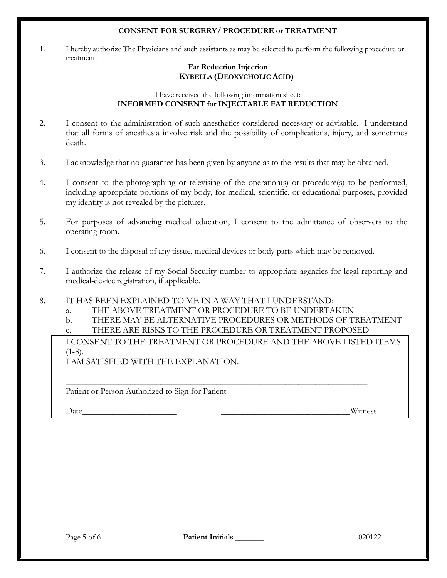### **CONSENT FOR SURGERY/ PROCEDURE or TREATMENT**

1. I hereby authorize The Physicians and such assistants as may be selected to perform the following procedure or treatment:

## **Fat Reduction Injection KYBELLA (DEOXYCHOLIC ACID)**

#### I have received the following information sheet: **INFORMED CONSENT for INJECTABLE FAT REDUCTION**

- 2. I consent to the administration of such anesthetics considered necessary or advisable. I understand that all forms of anesthesia involve risk and the possibility of complications, injury, and sometimes death.
- 3. I acknowledge that no guarantee has been given by anyone as to the results that may be obtained.
- 4. I consent to the photographing or televising of the operation(s) or procedure(s) to be performed, including appropriate portions of my body, for medical, scientific, or educational purposes, provided my identity is not revealed by the pictures.
- 5. For purposes of advancing medical education, I consent to the admittance of observers to the operating room.
- 6. I consent to the disposal of any tissue, medical devices or body parts which may be removed.
- 7. I authorize the release of my Social Security number to appropriate agencies for legal reporting and medical-device registration, if applicable.

## 8. IT HAS BEEN EXPLAINED TO ME IN A WAY THAT I UNDERSTAND:

- a. THE ABOVE TREATMENT OR PROCEDURE TO BE UNDERTAKEN
- b. THERE MAY BE ALTERNATIVE PROCEDURES OR METHODS OF TREATMENT
- c. THERE ARE RISKS TO THE PROCEDURE OR TREATMENT PROPOSED

\_\_\_\_\_\_\_\_\_\_\_\_\_\_\_\_\_\_\_\_\_\_\_\_\_\_\_\_\_\_\_\_\_\_\_\_\_\_\_\_\_\_\_\_\_\_\_\_\_\_\_\_\_\_\_\_\_\_\_\_\_\_\_\_\_\_\_\_\_\_

I CONSENT TO THE TREATMENT OR PROCEDURE AND THE ABOVE LISTED ITEMS  $(1-8)$ .

I AM SATISFIED WITH THE EXPLANATION.

Patient or Person Authorized to Sign for Patient

Date\_\_\_\_\_\_\_\_\_\_\_\_\_\_\_\_\_\_\_\_\_\_ \_\_\_\_\_\_\_\_\_\_\_\_\_\_\_\_\_\_\_\_\_\_\_\_\_\_\_\_\_\_Witness

Page 5 of 6 **Patient Initials 1996 Patient Initials** 20122